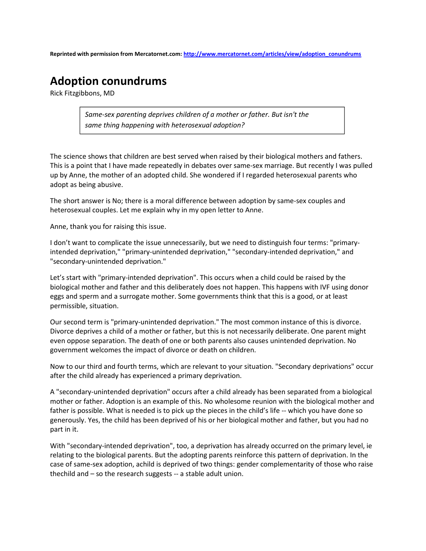Reprinted with permission from Mercatornet.com: http://www.mercatornet.com/articles/view/adoption\_conundrums

## Adoption conundrums

Rick Fitzgibbons, MD

Same-sex parenting deprives children of a mother or father. But isn't the same thing happening with heterosexual adoption?

The science shows that children are best served when raised by their biological mothers and fathers. This is a point that I have made repeatedly in debates over same-sex marriage. But recently I was pulled up by Anne, the mother of an adopted child. She wondered if I regarded heterosexual parents who adopt as being abusive.

The short answer is No; there is a moral difference between adoption by same-sex couples and heterosexual couples. Let me explain why in my open letter to Anne.

Anne, thank you for raising this issue.

I don't want to complicate the issue unnecessarily, but we need to distinguish four terms: "primaryintended deprivation," "primary-unintended deprivation," "secondary-intended deprivation," and "secondary-unintended deprivation."

Let's start with "primary-intended deprivation". This occurs when a child could be raised by the biological mother and father and this deliberately does not happen. This happens with IVF using donor eggs and sperm and a surrogate mother. Some governments think that this is a good, or at least permissible, situation.

Our second term is "primary-unintended deprivation." The most common instance of this is divorce. Divorce deprives a child of a mother or father, but this is not necessarily deliberate. One parent might even oppose separation. The death of one or both parents also causes unintended deprivation. No government welcomes the impact of divorce or death on children.

Now to our third and fourth terms, which are relevant to your situation. "Secondary deprivations" occur after the child already has experienced a primary deprivation.

A "secondary-unintended deprivation" occurs after a child already has been separated from a biological mother or father. Adoption is an example of this. No wholesome reunion with the biological mother and father is possible. What is needed is to pick up the pieces in the child's life -- which you have done so generously. Yes, the child has been deprived of his or her biological mother and father, but you had no part in it.

With "secondary-intended deprivation", too, a deprivation has already occurred on the primary level, ie relating to the biological parents. But the adopting parents reinforce this pattern of deprivation. In the case of same-sex adoption, achild is deprived of two things: gender complementarity of those who raise thechild and – so the research suggests -- a stable adult union.